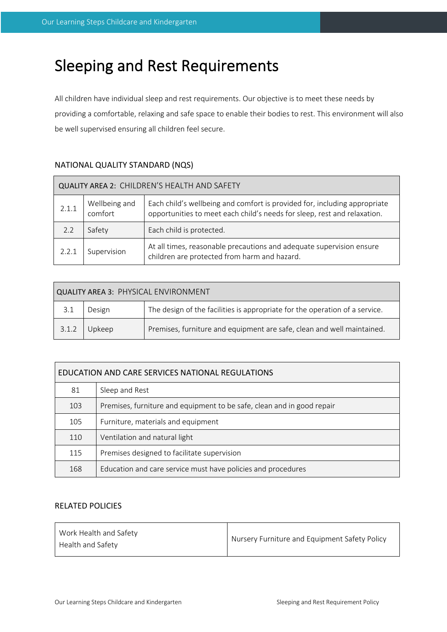# Sleeping and Rest Requirements

All children have individual sleep and rest requirements. Our objective is to meet these needs by providing a comfortable, relaxing and safe space to enable their bodies to rest. This environment will also be well supervised ensuring all children feel secure.

| QUALITY AREA 2: CHILDREN'S HEALTH AND SAFETY |                          |                                                                                                                                                       |  |  |  |  |
|----------------------------------------------|--------------------------|-------------------------------------------------------------------------------------------------------------------------------------------------------|--|--|--|--|
| 2.1.1                                        | Wellbeing and<br>comfort | Each child's wellbeing and comfort is provided for, including appropriate<br>opportunities to meet each child's needs for sleep, rest and relaxation. |  |  |  |  |
| 2.2                                          | Safety                   | Each child is protected.                                                                                                                              |  |  |  |  |
| 2.2.1                                        | Supervision              | At all times, reasonable precautions and adequate supervision ensure<br>children are protected from harm and hazard.                                  |  |  |  |  |

# NATIONAL QUALITY STANDARD (NQS)

| QUALITY AREA 3: PHYSICAL ENVIRONMENT |        |                                                                             |  |  |  |  |
|--------------------------------------|--------|-----------------------------------------------------------------------------|--|--|--|--|
| 3.1                                  | Design | The design of the facilities is appropriate for the operation of a service. |  |  |  |  |
| 3.1.2                                | Upkeep | Premises, furniture and equipment are safe, clean and well maintained.      |  |  |  |  |

| EDUCATION AND CARE SERVICES NATIONAL REGULATIONS |                                                                        |  |  |  |
|--------------------------------------------------|------------------------------------------------------------------------|--|--|--|
| 81                                               | Sleep and Rest                                                         |  |  |  |
| 103                                              | Premises, furniture and equipment to be safe, clean and in good repair |  |  |  |
| 105                                              | Furniture, materials and equipment                                     |  |  |  |
| 110                                              | Ventilation and natural light                                          |  |  |  |
| 115                                              | Premises designed to facilitate supervision                            |  |  |  |
| 168                                              | Education and care service must have policies and procedures           |  |  |  |

# RELATED POLICIES

| Nursery Furniture and Equipment Safety Policy |
|-----------------------------------------------|
|                                               |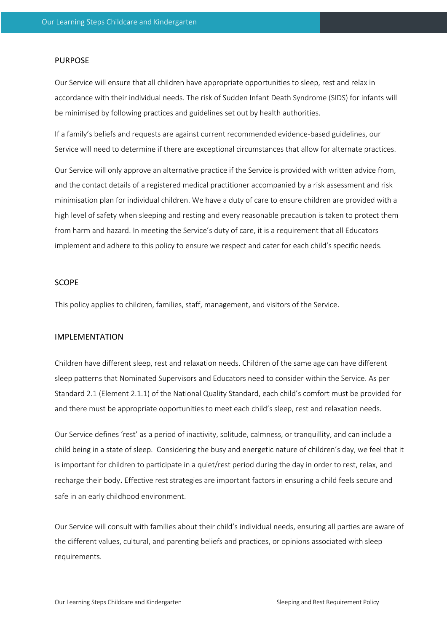#### PURPOSE

Our Service will ensure that all children have appropriate opportunities to sleep, rest and relax in accordance with their individual needs. The risk of Sudden Infant Death Syndrome (SIDS) for infants will be minimised by following practices and guidelines set out by health authorities.

If a family's beliefs and requests are against current recommended evidence-based guidelines, our Service will need to determine if there are exceptional circumstances that allow for alternate practices.

Our Service will only approve an alternative practice if the Service is provided with written advice from, and the contact details of a registered medical practitioner accompanied by a risk assessment and risk minimisation plan for individual children. We have a duty of care to ensure children are provided with a high level of safety when sleeping and resting and every reasonable precaution is taken to protect them from harm and hazard. In meeting the Service's duty of care, it is a requirement that all Educators implement and adhere to this policy to ensure we respect and cater for each child's specific needs.

# **SCOPE**

This policy applies to children, families, staff, management, and visitors of the Service.

#### IMPLEMENTATION

Children have different sleep, rest and relaxation needs. Children of the same age can have different sleep patterns that Nominated Supervisors and Educators need to consider within the Service. As per Standard 2.1 (Element 2.1.1) of the National Quality Standard, each child's comfort must be provided for and there must be appropriate opportunities to meet each child's sleep, rest and relaxation needs.

Our Service defines 'rest' as a period of inactivity, solitude, calmness, or tranquillity, and can include a child being in a state of sleep. Considering the busy and energetic nature of children's day, we feel that it is important for children to participate in a quiet/rest period during the day in order to rest, relax, and recharge their body. Effective rest strategies are important factors in ensuring a child feels secure and safe in an early childhood environment.

Our Service will consult with families about their child's individual needs, ensuring all parties are aware of the different values, cultural, and parenting beliefs and practices, or opinions associated with sleep requirements.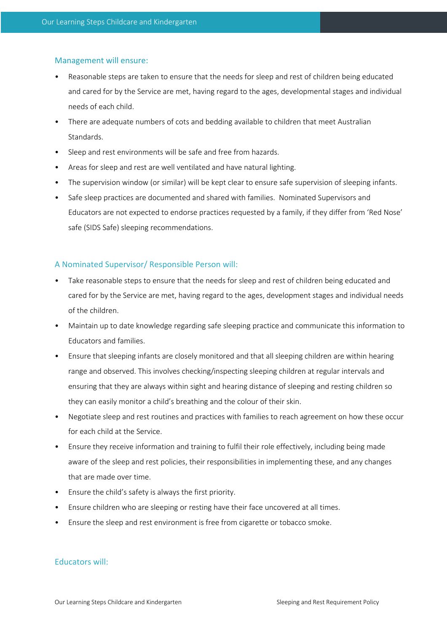### Management will ensure:

- Reasonable steps are taken to ensure that the needs for sleep and rest of children being educated and cared for by the Service are met, having regard to the ages, developmental stages and individual needs of each child.
- There are adequate numbers of cots and bedding available to children that meet Australian Standards.
- Sleep and rest environments will be safe and free from hazards.
- Areas for sleep and rest are well ventilated and have natural lighting.
- The supervision window (or similar) will be kept clear to ensure safe supervision of sleeping infants.
- Safe sleep practices are documented and shared with families. Nominated Supervisors and Educators are not expected to endorse practices requested by a family, if they differ from 'Red Nose' safe (SIDS Safe) sleeping recommendations.

## A Nominated Supervisor/ Responsible Person will:

- Take reasonable steps to ensure that the needs for sleep and rest of children being educated and cared for by the Service are met, having regard to the ages, development stages and individual needs of the children.
- Maintain up to date knowledge regarding safe sleeping practice and communicate this information to Educators and families.
- Ensure that sleeping infants are closely monitored and that all sleeping children are within hearing range and observed. This involves checking/inspecting sleeping children at regular intervals and ensuring that they are always within sight and hearing distance of sleeping and resting children so they can easily monitor a child's breathing and the colour of their skin.
- Negotiate sleep and rest routines and practices with families to reach agreement on how these occur for each child at the Service.
- Ensure they receive information and training to fulfil their role effectively, including being made aware of the sleep and rest policies, their responsibilities in implementing these, and any changes that are made over time.
- Ensure the child's safety is always the first priority.
- Ensure children who are sleeping or resting have their face uncovered at all times.
- Ensure the sleep and rest environment is free from cigarette or tobacco smoke.

# Educators will: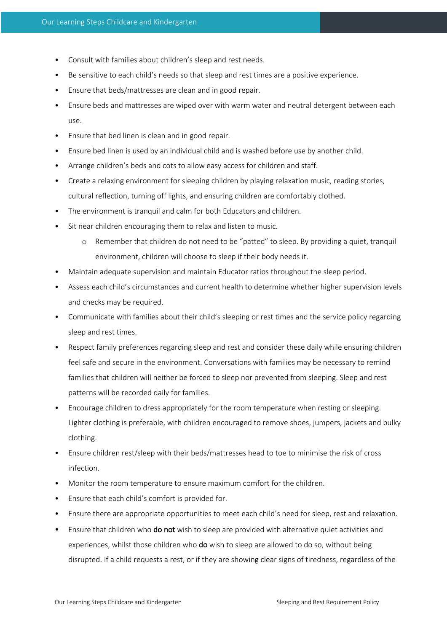- Consult with families about children's sleep and rest needs.
- Be sensitive to each child's needs so that sleep and rest times are a positive experience.
- Ensure that beds/mattresses are clean and in good repair.
- Ensure beds and mattresses are wiped over with warm water and neutral detergent between each use.
- Ensure that bed linen is clean and in good repair.
- Ensure bed linen is used by an individual child and is washed before use by another child.
- Arrange children's beds and cots to allow easy access for children and staff.
- Create a relaxing environment for sleeping children by playing relaxation music, reading stories, cultural reflection, turning off lights, and ensuring children are comfortably clothed.
- The environment is tranquil and calm for both Educators and children.
- Sit near children encouraging them to relax and listen to music.
	- o Remember that children do not need to be "patted" to sleep. By providing a quiet, tranquil environment, children will choose to sleep if their body needs it.
- Maintain adequate supervision and maintain Educator ratios throughout the sleep period.
- Assess each child's circumstances and current health to determine whether higher supervision levels and checks may be required.
- Communicate with families about their child's sleeping or rest times and the service policy regarding sleep and rest times.
- Respect family preferences regarding sleep and rest and consider these daily while ensuring children feel safe and secure in the environment. Conversations with families may be necessary to remind families that children will neither be forced to sleep nor prevented from sleeping. Sleep and rest patterns will be recorded daily for families.
- Encourage children to dress appropriately for the room temperature when resting or sleeping. Lighter clothing is preferable, with children encouraged to remove shoes, jumpers, jackets and bulky clothing.
- Ensure children rest/sleep with their beds/mattresses head to toe to minimise the risk of cross infection.
- Monitor the room temperature to ensure maximum comfort for the children.
- Ensure that each child's comfort is provided for.
- Ensure there are appropriate opportunities to meet each child's need for sleep, rest and relaxation.
- Ensure that children who do not wish to sleep are provided with alternative quiet activities and experiences, whilst those children who do wish to sleep are allowed to do so, without being disrupted. If a child requests a rest, or if they are showing clear signs of tiredness, regardless of the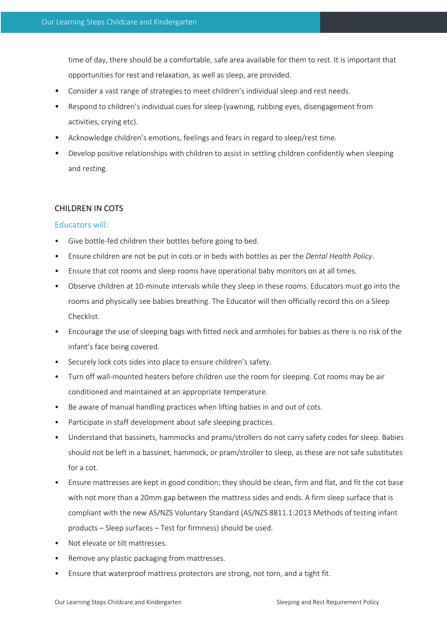time of day, there should be a comfortable, safe area available for them to rest. It is important that opportunities for rest and relaxation, as well as sleep, are provided.

- Consider a vast range of strategies to meet children's individual sleep and rest needs.
- Respond to children's individual cues for sleep (yawning, rubbing eyes, disengagement from activities, crying etc).
- Acknowledge children's emotions, feelings and fears in regard to sleep/rest time.
- Develop positive relationships with children to assist in settling children confidently when sleeping and resting.

#### CHILDREN IN COTS

#### Educators will:

- Give bottle-fed children their bottles before going to bed.
- Ensure children are not be put in cots or in beds with bottles as per the *Dental Health Policy*.
- Ensure that cot rooms and sleep rooms have operational baby monitors on at all times.
- Observe children at 10-minute intervals while they sleep in these rooms. Educators must go into the rooms and physically see babies breathing. The Educator will then officially record this on a Sleep Checklist.
- Encourage the use of sleeping bags with fitted neck and armholes for babies as there is no risk of the infant's face being covered.
- Securely lock cots sides into place to ensure children's safety.
- Turn off wall-mounted heaters before children use the room for sleeping. Cot rooms may be air conditioned and maintained at an appropriate temperature.
- Be aware of manual handling practices when lifting babies in and out of cots.
- Participate in staff development about safe sleeping practices.
- Understand that bassinets, hammocks and prams/strollers do not carry safety codes for sleep. Babies should not be left in a bassinet, hammock, or pram/stroller to sleep, as these are not safe substitutes for a cot.
- Ensure mattresses are kept in good condition; they should be clean, firm and flat, and fit the cot base with not more than a 20mm gap between the mattress sides and ends. A firm sleep surface that is compliant with the new AS/NZS Voluntary Standard (AS/NZS 8811.1:2013 Methods of testing infant products – Sleep surfaces – Test for firmness) should be used.
- Not elevate or tilt mattresses.
- Remove any plastic packaging from mattresses.
- Ensure that waterproof mattress protectors are strong, not torn, and a tight fit.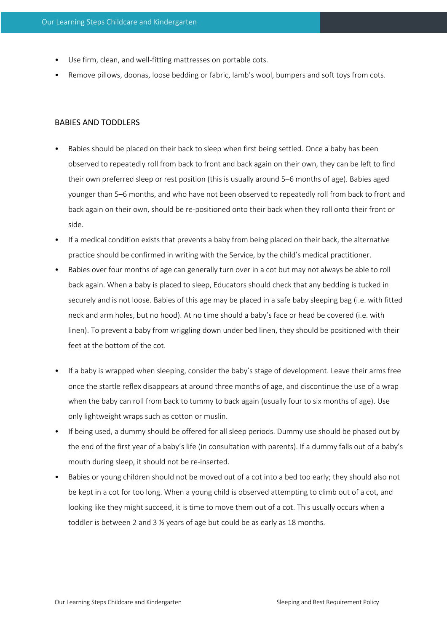- Use firm, clean, and well-fitting mattresses on portable cots.
- Remove pillows, doonas, loose bedding or fabric, lamb's wool, bumpers and soft toys from cots.

#### BABIES AND TODDLERS

- Babies should be placed on their back to sleep when first being settled. Once a baby has been observed to repeatedly roll from back to front and back again on their own, they can be left to find their own preferred sleep or rest position (this is usually around 5–6 months of age). Babies aged younger than 5–6 months, and who have not been observed to repeatedly roll from back to front and back again on their own, should be re-positioned onto their back when they roll onto their front or side.
- If a medical condition exists that prevents a baby from being placed on their back, the alternative practice should be confirmed in writing with the Service, by the child's medical practitioner.
- Babies over four months of age can generally turn over in a cot but may not always be able to roll back again. When a baby is placed to sleep, Educators should check that any bedding is tucked in securely and is not loose. Babies of this age may be placed in a safe baby sleeping bag (i.e. with fitted neck and arm holes, but no hood). At no time should a baby's face or head be covered (i.e. with linen). To prevent a baby from wriggling down under bed linen, they should be positioned with their feet at the bottom of the cot.
- If a baby is wrapped when sleeping, consider the baby's stage of development. Leave their arms free once the startle reflex disappears at around three months of age, and discontinue the use of a wrap when the baby can roll from back to tummy to back again (usually four to six months of age). Use only lightweight wraps such as cotton or muslin.
- If being used, a dummy should be offered for all sleep periods. Dummy use should be phased out by the end of the first year of a baby's life (in consultation with parents). If a dummy falls out of a baby's mouth during sleep, it should not be re-inserted.
- Babies or young children should not be moved out of a cot into a bed too early; they should also not be kept in a cot for too long. When a young child is observed attempting to climb out of a cot, and looking like they might succeed, it is time to move them out of a cot. This usually occurs when a toddler is between 2 and 3 ½ years of age but could be as early as 18 months.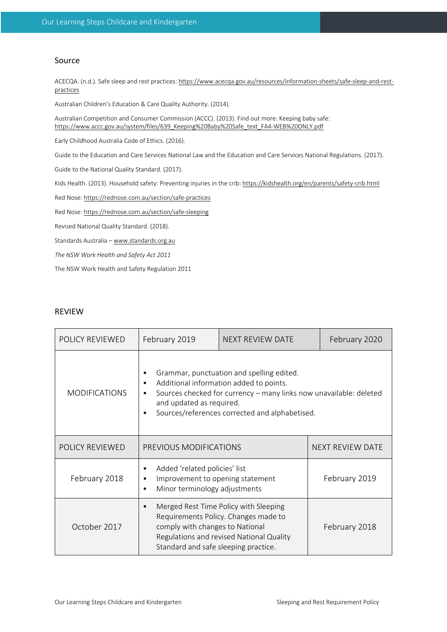# Source

ACECQA. (n.d.). Safe sleep and rest practices: https://www.acecqa.gov.au/resources/information-sheets/safe-sleep-and-restpractices

Australian Children's Education & Care Quality Authority. (2014).

Australian Competition and Consumer Commission (ACCC). (2013). Find out more: Keeping baby safe: https://www.accc.gov.au/system/files/639\_Keeping%20Baby%20Safe\_text\_FA4-WEB%20ONLY.pdf

Early Childhood Australia Code of Ethics. (2016).

Guide to the Education and Care Services National Law and the Education and Care Services National Regulations. (2017).

Guide to the National Quality Standard. (2017).

Kids Health. (2013). Household safety: Preventing injuries in the crib: https://kidshealth.org/en/parents/safety-crib.html

Red Nose: https://rednose.com.au/section/safe-practices

Red Nose: https://rednose.com.au/section/safe-sleeping

Revised National Quality Standard. (2018).

Standards Australia – www.standards.org.au

*The NSW Work Health and Safety Act 2011* 

The NSW Work Health and Safety Regulation 2011

## REVIEW

| POLICY REVIEWED      | February 2019                                                                                                                                                      | NEXT REVIEW DATE                                                                                                          | February 2020    |
|----------------------|--------------------------------------------------------------------------------------------------------------------------------------------------------------------|---------------------------------------------------------------------------------------------------------------------------|------------------|
| <b>MODIFICATIONS</b> | Grammar, punctuation and spelling edited.<br>Additional information added to points.<br>and updated as required.<br>Sources/references corrected and alphabetised. | Sources checked for currency - many links now unavailable: deleted                                                        |                  |
| POLICY REVIEWED      | PREVIOUS MODIFICATIONS                                                                                                                                             |                                                                                                                           | NEXT REVIEW DATE |
| February 2018        | Added 'related policies' list<br>Improvement to opening statement<br>٠<br>Minor terminology adjustments                                                            |                                                                                                                           | February 2019    |
| October 2017         | comply with changes to National<br>Standard and safe sleeping practice.                                                                                            | Merged Rest Time Policy with Sleeping<br>Requirements Policy. Changes made to<br>Regulations and revised National Quality | February 2018    |